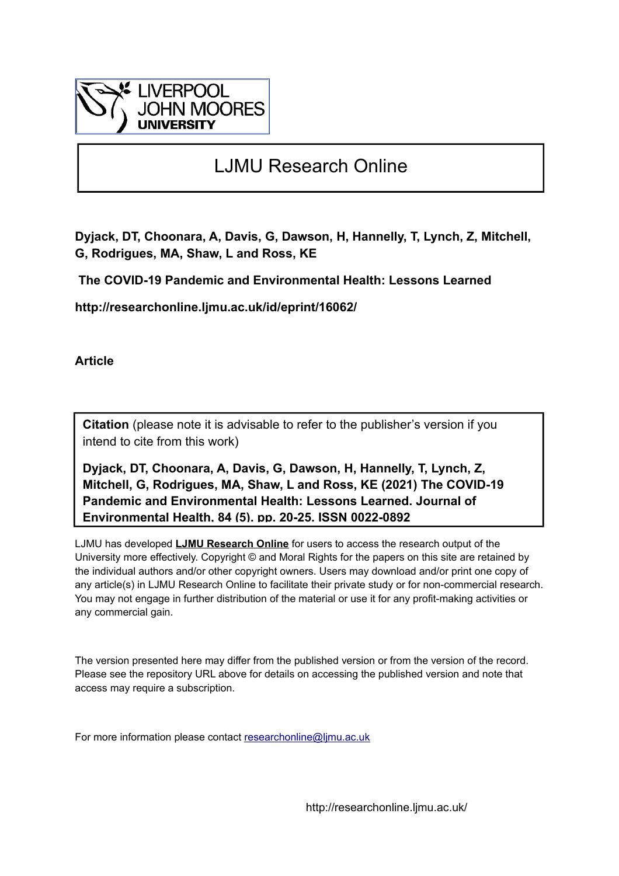

# LJMU Research Online

**Dyjack, DT, Choonara, A, Davis, G, Dawson, H, Hannelly, T, Lynch, Z, Mitchell, G, Rodrigues, MA, Shaw, L and Ross, KE**

 **The COVID-19 Pandemic and Environmental Health: Lessons Learned**

**http://researchonline.ljmu.ac.uk/id/eprint/16062/**

**Article**

**Citation** (please note it is advisable to refer to the publisher's version if you intend to cite from this work)

**Dyjack, DT, Choonara, A, Davis, G, Dawson, H, Hannelly, T, Lynch, Z, Mitchell, G, Rodrigues, MA, Shaw, L and Ross, KE (2021) The COVID-19 Pandemic and Environmental Health: Lessons Learned. Journal of Environmental Health, 84 (5). pp. 20-25. ISSN 0022-0892** 

LJMU has developed **[LJMU Research Online](http://researchonline.ljmu.ac.uk/)** for users to access the research output of the University more effectively. Copyright © and Moral Rights for the papers on this site are retained by the individual authors and/or other copyright owners. Users may download and/or print one copy of any article(s) in LJMU Research Online to facilitate their private study or for non-commercial research. You may not engage in further distribution of the material or use it for any profit-making activities or any commercial gain.

The version presented here may differ from the published version or from the version of the record. Please see the repository URL above for details on accessing the published version and note that access may require a subscription.

For more information please contact [researchonline@ljmu.ac.uk](mailto:researchonline@ljmu.ac.uk)

http://researchonline.ljmu.ac.uk/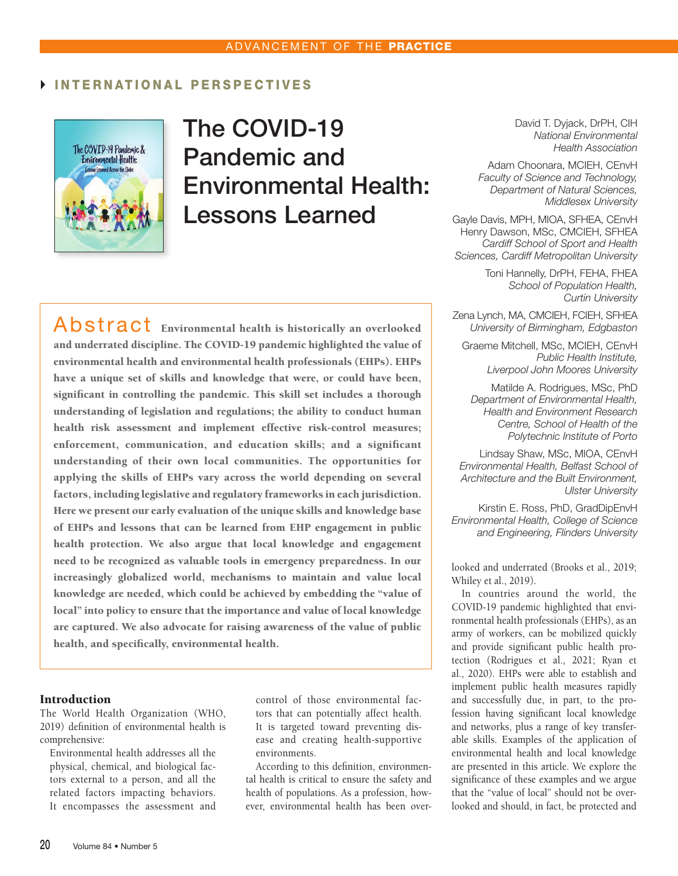# INTERNATIONAL PERSPECTIVES



# The COVID-19 Pandemic and Environmental Health: Lessons Learned

Abstract Environmental health is historically an overlooked and underrated discipline. The COVID-19 pandemic highlighted the value of environmental health and environmental health professionals (EHPs). EHPs have a unique set of skills and knowledge that were, or could have been, significant in controlling the pandemic. This skill set includes a thorough understanding of legislation and regulations; the ability to conduct human health risk assessment and implement effective risk-control measures; enforcement, communication, and education skills; and a significant understanding of their own local communities. The opportunities for applying the skills of EHPs vary across the world depending on several factors, including legislative and regulatory frameworks in each jurisdiction. Here we present our early evaluation of the unique skills and knowledge base of EHPs and lessons that can be learned from EHP engagement in public health protection. We also argue that local knowledge and engagement need to be recognized as valuable tools in emergency preparedness. In our increasingly globalized world, mechanisms to maintain and value local knowledge are needed, which could be achieved by embedding the "value of local" into policy to ensure that the importance and value of local knowledge are captured. We also advocate for raising awareness of the value of public health, and specifically, environmental health.

#### Introduction

The World Health Organization (WHO, 2019) definition of environmental health is comprehensive:

Environmental health addresses all the physical, chemical, and biological factors external to a person, and all the related factors impacting behaviors. It encompasses the assessment and control of those environmental factors that can potentially affect health. It is targeted toward preventing disease and creating health-supportive environments.

According to this definition, environmental health is critical to ensure the safety and health of populations. As a profession, however, environmental health has been overDavid T. Dyjack, DrPH, CIH *National Environmental Health Association*

Adam Choonara, MCIEH, CEnvH *Faculty of Science and Technology, Department of Natural Sciences, Middlesex University*

Gayle Davis, MPH, MIOA, SFHEA, CEnvH Henry Dawson, MSc, CMCIEH, SFHEA *Cardiff School of Sport and Health Sciences, Cardiff Metropolitan University*

> Toni Hannelly, DrPH, FEHA, FHEA *School of Population Health, Curtin University*

Zena Lynch, MA, CMCIEH, FCIEH, SFHEA *University of Birmingham, Edgbaston*

Graeme Mitchell, MSc, MCIEH, CEnvH *Public Health Institute, Liverpool John Moores University*

Matilde A. Rodrigues, MSc, PhD *Department of Environmental Health, Health and Environment Research Centre, School of Health of the Polytechnic Institute of Porto*

Lindsay Shaw, MSc, MIOA, CEnvH *Environmental Health, Belfast School of Architecture and the Built Environment, Ulster University*

Kirstin E. Ross, PhD, GradDipEnvH *Environmental Health, College of Science and Engineering, Flinders University*

looked and underrated (Brooks et al., 2019; Whiley et al., 2019).

In countries around the world, the COVID-19 pandemic highlighted that environmental health professionals (EHPs), as an army of workers, can be mobilized quickly and provide significant public health protection (Rodrigues et al., 2021; Ryan et al., 2020). EHPs were able to establish and implement public health measures rapidly and successfully due, in part, to the profession having significant local knowledge and networks, plus a range of key transferable skills. Examples of the application of environmental health and local knowledge are presented in this article. We explore the significance of these examples and we argue that the "value of local" should not be overlooked and should, in fact, be protected and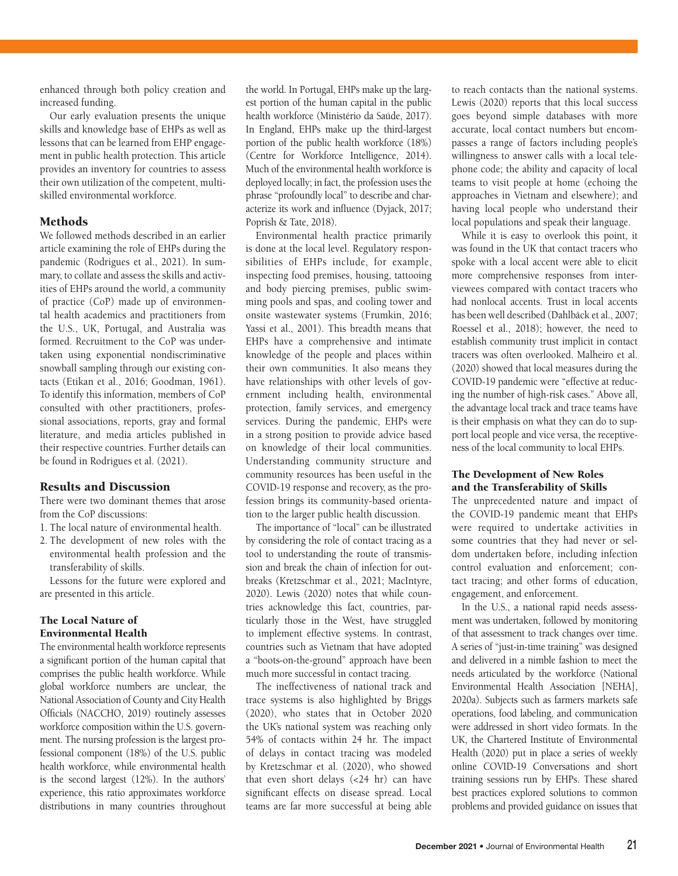enhanced through both policy creation and increased funding.

Our early evaluation presents the unique skills and knowledge base of EHPs as well as lessons that can be learned from EHP engagement in public health protection. This article provides an inventory for countries to assess their own utilization of the competent, multiskilled environmental workforce.

### **Methods**

We followed methods described in an earlier article examining the role of EHPs during the pandemic (Rodrigues et al., 2021). In summary, to collate and assess the skills and activities of EHPs around the world, a community of practice (CoP) made up of environmental health academics and practitioners from the U.S., UK, Portugal, and Australia was formed. Recruitment to the CoP was undertaken using exponential nondiscriminative snowball sampling through our existing contacts (Etikan et al., 2016; Goodman, 1961). To identify this information, members of CoP consulted with other practitioners, professional associations, reports, gray and formal literature, and media articles published in their respective countries. Further details can be found in Rodrigues et al. (2021).

## Results and Discussion

There were two dominant themes that arose from the CoP discussions:

- 1. The local nature of environmental health.
- 2. The development of new roles with the environmental health profession and the transferability of skills.

Lessons for the future were explored and are presented in this article.

## The Local Nature of Environmental Health

The environmental health workforce represents a significant portion of the human capital that comprises the public health workforce. While global workforce numbers are unclear, the National Association of County and City Health Officials (NACCHO, 2019) routinely assesses workforce composition within the U.S. government. The nursing profession is the largest professional component (18%) of the U.S. public health workforce, while environmental health is the second largest (12%). In the authors' experience, this ratio approximates workforce distributions in many countries throughout the world. In Portugal, EHPs make up the largest portion of the human capital in the public health workforce (Ministério da Saúde, 2017). In England, EHPs make up the third-largest portion of the public health workforce (18%) (Centre for Workforce Intelligence, 2014). Much of the environmental health workforce is deployed locally; in fact, the profession uses the phrase "profoundly local" to describe and characterize its work and influence (Dyjack, 2017; Poprish & Tate, 2018).

Environmental health practice primarily is done at the local level. Regulatory responsibilities of EHPs include, for example, inspecting food premises, housing, tattooing and body piercing premises, public swimming pools and spas, and cooling tower and onsite wastewater systems (Frumkin, 2016; Yassi et al., 2001). This breadth means that EHPs have a comprehensive and intimate knowledge of the people and places within their own communities. It also means they have relationships with other levels of government including health, environmental protection, family services, and emergency services. During the pandemic, EHPs were in a strong position to provide advice based on knowledge of their local communities. Understanding community structure and community resources has been useful in the COVID-19 response and recovery, as the profession brings its community-based orientation to the larger public health discussion.

The importance of "local" can be illustrated by considering the role of contact tracing as a tool to understanding the route of transmission and break the chain of infection for outbreaks (Kretzschmar et al., 2021; MacIntyre, 2020). Lewis (2020) notes that while countries acknowledge this fact, countries, particularly those in the West, have struggled to implement effective systems. In contrast, countries such as Vietnam that have adopted a "boots-on-the-ground" approach have been much more successful in contact tracing.

The ineffectiveness of national track and trace systems is also highlighted by Briggs (2020), who states that in October 2020 the UK's national system was reaching only 54% of contacts within 24 hr. The impact of delays in contact tracing was modeled by Kretzschmar et al. (2020), who showed that even short delays (<24 hr) can have significant effects on disease spread. Local teams are far more successful at being able to reach contacts than the national systems. Lewis (2020) reports that this local success goes beyond simple databases with more accurate, local contact numbers but encompasses a range of factors including people's willingness to answer calls with a local telephone code; the ability and capacity of local teams to visit people at home (echoing the approaches in Vietnam and elsewhere); and having local people who understand their local populations and speak their language.

While it is easy to overlook this point, it was found in the UK that contact tracers who spoke with a local accent were able to elicit more comprehensive responses from interviewees compared with contact tracers who had nonlocal accents. Trust in local accents has been well described (Dahlbäck et al., 2007; Roessel et al., 2018); however, the need to establish community trust implicit in contact tracers was often overlooked. Malheiro et al. (2020) showed that local measures during the COVID-19 pandemic were "effective at reducing the number of high-risk cases." Above all, the advantage local track and trace teams have is their emphasis on what they can do to support local people and vice versa, the receptiveness of the local community to local EHPs.

#### The Development of New Roles and the Transferability of Skills

The unprecedented nature and impact of the COVID-19 pandemic meant that EHPs were required to undertake activities in some countries that they had never or seldom undertaken before, including infection control evaluation and enforcement; contact tracing; and other forms of education, engagement, and enforcement.

In the U.S., a national rapid needs assessment was undertaken, followed by monitoring of that assessment to track changes over time. A series of "just-in-time training" was designed and delivered in a nimble fashion to meet the needs articulated by the workforce (National Environmental Health Association [NEHA], 2020a). Subjects such as farmers markets safe operations, food labeling, and communication were addressed in short video formats. In the UK, the Chartered Institute of Environmental Health (2020) put in place a series of weekly online COVID-19 Conversations and short training sessions run by EHPs. These shared best practices explored solutions to common problems and provided guidance on issues that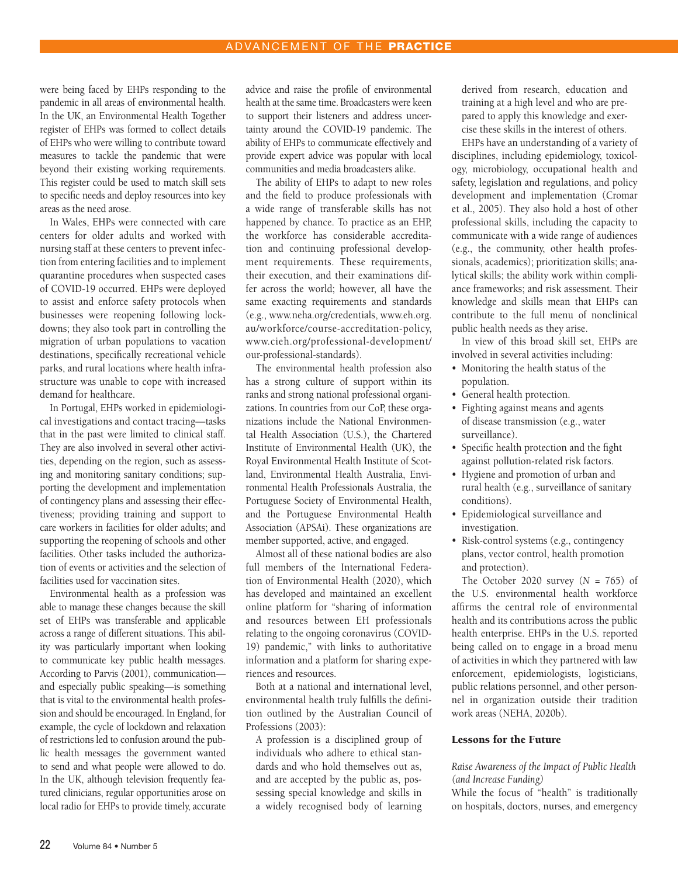were being faced by EHPs responding to the pandemic in all areas of environmental health. In the UK, an Environmental Health Together register of EHPs was formed to collect details of EHPs who were willing to contribute toward measures to tackle the pandemic that were beyond their existing working requirements. This register could be used to match skill sets to specific needs and deploy resources into key areas as the need arose.

In Wales, EHPs were connected with care centers for older adults and worked with nursing staff at these centers to prevent infection from entering facilities and to implement quarantine procedures when suspected cases of COVID-19 occurred. EHPs were deployed to assist and enforce safety protocols when businesses were reopening following lockdowns; they also took part in controlling the migration of urban populations to vacation destinations, specifically recreational vehicle parks, and rural locations where health infrastructure was unable to cope with increased demand for healthcare.

In Portugal, EHPs worked in epidemiological investigations and contact tracing—tasks that in the past were limited to clinical staff. They are also involved in several other activities, depending on the region, such as assessing and monitoring sanitary conditions; supporting the development and implementation of contingency plans and assessing their effectiveness; providing training and support to care workers in facilities for older adults; and supporting the reopening of schools and other facilities. Other tasks included the authorization of events or activities and the selection of facilities used for vaccination sites.

Environmental health as a profession was able to manage these changes because the skill set of EHPs was transferable and applicable across a range of different situations. This ability was particularly important when looking to communicate key public health messages. According to Parvis (2001), communication and especially public speaking—is something that is vital to the environmental health profession and should be encouraged. In England, for example, the cycle of lockdown and relaxation of restrictions led to confusion around the public health messages the government wanted to send and what people were allowed to do. In the UK, although television frequently featured clinicians, regular opportunities arose on local radio for EHPs to provide timely, accurate

advice and raise the profile of environmental health at the same time. Broadcasters were keen to support their listeners and address uncertainty around the COVID-19 pandemic. The ability of EHPs to communicate effectively and provide expert advice was popular with local communities and media broadcasters alike.

The ability of EHPs to adapt to new roles and the field to produce professionals with a wide range of transferable skills has not happened by chance. To practice as an EHP, the workforce has considerable accreditation and continuing professional development requirements. These requirements, their execution, and their examinations differ across the world; however, all have the same exacting requirements and standards (e.g., www.neha.org/credentials, www.eh.org. au/workforce/course-accreditation-policy, www.cieh.org/professional-development/ our-professional-standards).

The environmental health profession also has a strong culture of support within its ranks and strong national professional organizations. In countries from our CoP, these organizations include the National Environmental Health Association (U.S.), the Chartered Institute of Environmental Health (UK), the Royal Environmental Health Institute of Scotland, Environmental Health Australia, Environmental Health Professionals Australia, the Portuguese Society of Environmental Health, and the Portuguese Environmental Health Association (APSAi). These organizations are member supported, active, and engaged.

Almost all of these national bodies are also full members of the International Federation of Environmental Health (2020), which has developed and maintained an excellent online platform for "sharing of information and resources between EH professionals relating to the ongoing coronavirus (COVID-19) pandemic," with links to authoritative information and a platform for sharing experiences and resources.

Both at a national and international level, environmental health truly fulfills the definition outlined by the Australian Council of Professions (2003):

A profession is a disciplined group of individuals who adhere to ethical standards and who hold themselves out as, and are accepted by the public as, possessing special knowledge and skills in a widely recognised body of learning derived from research, education and training at a high level and who are prepared to apply this knowledge and exercise these skills in the interest of others.

EHPs have an understanding of a variety of disciplines, including epidemiology, toxicology, microbiology, occupational health and safety, legislation and regulations, and policy development and implementation (Cromar et al., 2005). They also hold a host of other professional skills, including the capacity to communicate with a wide range of audiences (e.g., the community, other health professionals, academics); prioritization skills; analytical skills; the ability work within compliance frameworks; and risk assessment. Their knowledge and skills mean that EHPs can contribute to the full menu of nonclinical public health needs as they arise.

In view of this broad skill set, EHPs are involved in several activities including:

- Monitoring the health status of the population.
- General health protection.
- Fighting against means and agents of disease transmission (e.g., water surveillance).
- Specific health protection and the fight against pollution-related risk factors.
- Hygiene and promotion of urban and rural health (e.g., surveillance of sanitary conditions).
- Epidemiological surveillance and investigation.
- Risk-control systems (e.g., contingency plans, vector control, health promotion and protection).

The October 2020 survey (*N* = 765) of the U.S. environmental health workforce affirms the central role of environmental health and its contributions across the public health enterprise. EHPs in the U.S. reported being called on to engage in a broad menu of activities in which they partnered with law enforcement, epidemiologists, logisticians, public relations personnel, and other personnel in organization outside their tradition work areas (NEHA, 2020b).

#### Lessons for the Future

#### *Raise Awareness of the Impact of Public Health (and Increase Funding)*

While the focus of "health" is traditionally on hospitals, doctors, nurses, and emergency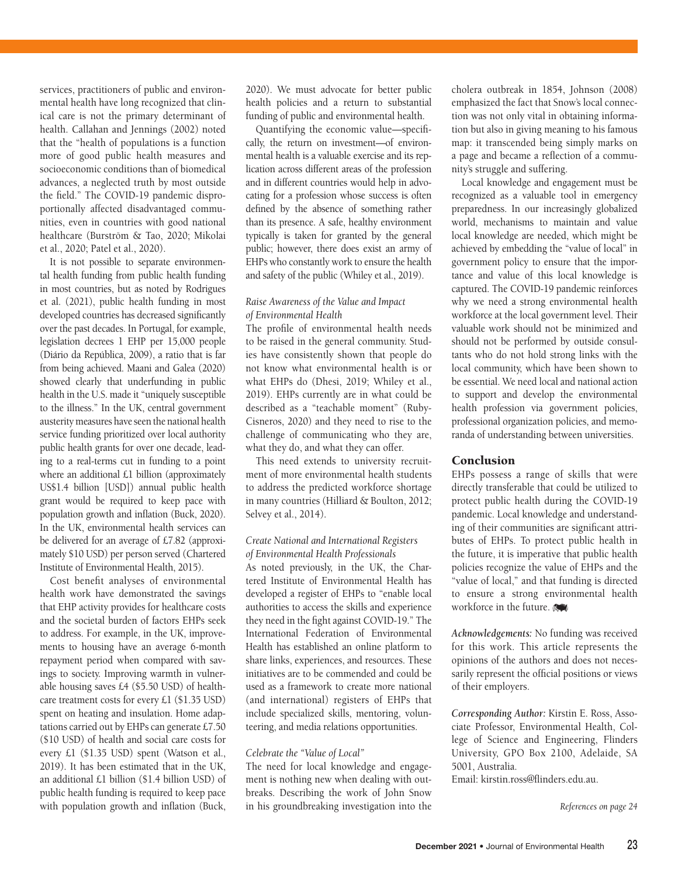services, practitioners of public and environmental health have long recognized that clinical care is not the primary determinant of health. Callahan and Jennings (2002) noted that the "health of populations is a function more of good public health measures and socioeconomic conditions than of biomedical advances, a neglected truth by most outside the field." The COVID-19 pandemic disproportionally affected disadvantaged communities, even in countries with good national healthcare (Burström & Tao, 2020; Mikolai et al., 2020; Patel et al., 2020).

It is not possible to separate environmental health funding from public health funding in most countries, but as noted by Rodrigues et al. (2021), public health funding in most developed countries has decreased significantly over the past decades. In Portugal, for example, legislation decrees 1 EHP per 15,000 people (Diário da República, 2009), a ratio that is far from being achieved. Maani and Galea (2020) showed clearly that underfunding in public health in the U.S. made it "uniquely susceptible to the illness." In the UK, central government austerity measures have seen the national health service funding prioritized over local authority public health grants for over one decade, leading to a real-terms cut in funding to a point where an additional £1 billion (approximately US\$1.4 billion [USD]) annual public health grant would be required to keep pace with population growth and inflation (Buck, 2020). In the UK, environmental health services can be delivered for an average of £7.82 (approximately \$10 USD) per person served (Chartered Institute of Environmental Health, 2015).

Cost benefit analyses of environmental health work have demonstrated the savings that EHP activity provides for healthcare costs and the societal burden of factors EHPs seek to address. For example, in the UK, improvements to housing have an average 6-month repayment period when compared with savings to society. Improving warmth in vulnerable housing saves £4 (\$5.50 USD) of healthcare treatment costs for every £1 (\$1.35 USD) spent on heating and insulation. Home adaptations carried out by EHPs can generate £7.50 (\$10 USD) of health and social care costs for every £1 (\$1.35 USD) spent (Watson et al., 2019). It has been estimated that in the UK, an additional £1 billion (\$1.4 billion USD) of public health funding is required to keep pace with population growth and inflation (Buck, 2020). We must advocate for better public health policies and a return to substantial funding of public and environmental health.

Quantifying the economic value—specifically, the return on investment—of environmental health is a valuable exercise and its replication across different areas of the profession and in different countries would help in advocating for a profession whose success is often defined by the absence of something rather than its presence. A safe, healthy environment typically is taken for granted by the general public; however, there does exist an army of EHPs who constantly work to ensure the health and safety of the public (Whiley et al., 2019).

#### *Raise Awareness of the Value and Impact of Environmental Health*

The profile of environmental health needs to be raised in the general community. Studies have consistently shown that people do not know what environmental health is or what EHPs do (Dhesi, 2019; Whiley et al., 2019). EHPs currently are in what could be described as a "teachable moment" (Ruby-Cisneros, 2020) and they need to rise to the challenge of communicating who they are, what they do, and what they can offer.

This need extends to university recruitment of more environmental health students to address the predicted workforce shortage in many countries (Hilliard & Boulton, 2012; Selvey et al., 2014).

#### *Create National and International Registers of Environmental Health Professionals*

As noted previously, in the UK, the Chartered Institute of Environmental Health has developed a register of EHPs to "enable local authorities to access the skills and experience they need in the fight against COVID-19." The International Federation of Environmental Health has established an online platform to share links, experiences, and resources. These initiatives are to be commended and could be used as a framework to create more national (and international) registers of EHPs that include specialized skills, mentoring, volunteering, and media relations opportunities.

#### *Celebrate the "Value of Local"*

The need for local knowledge and engagement is nothing new when dealing with outbreaks. Describing the work of John Snow in his groundbreaking investigation into the cholera outbreak in 1854, Johnson (2008) emphasized the fact that Snow's local connection was not only vital in obtaining information but also in giving meaning to his famous map: it transcended being simply marks on a page and became a reflection of a community's struggle and suffering.

Local knowledge and engagement must be recognized as a valuable tool in emergency preparedness. In our increasingly globalized world, mechanisms to maintain and value local knowledge are needed, which might be achieved by embedding the "value of local" in government policy to ensure that the importance and value of this local knowledge is captured. The COVID-19 pandemic reinforces why we need a strong environmental health workforce at the local government level. Their valuable work should not be minimized and should not be performed by outside consultants who do not hold strong links with the local community, which have been shown to be essential. We need local and national action to support and develop the environmental health profession via government policies, professional organization policies, and memoranda of understanding between universities.

#### Conclusion

EHPs possess a range of skills that were directly transferable that could be utilized to protect public health during the COVID-19 pandemic. Local knowledge and understanding of their communities are significant attributes of EHPs. To protect public health in the future, it is imperative that public health policies recognize the value of EHPs and the "value of local," and that funding is directed to ensure a strong environmental health workforce in the future.

*Acknowledgements:* No funding was received for this work. This article represents the opinions of the authors and does not necessarily represent the official positions or views of their employers.

*Corresponding Author:* Kirstin E. Ross, Associate Professor, Environmental Health, College of Science and Engineering, Flinders University, GPO Box 2100, Adelaide, SA 5001, Australia.

Email: kirstin.ross@flinders.edu.au.

*References on page 24*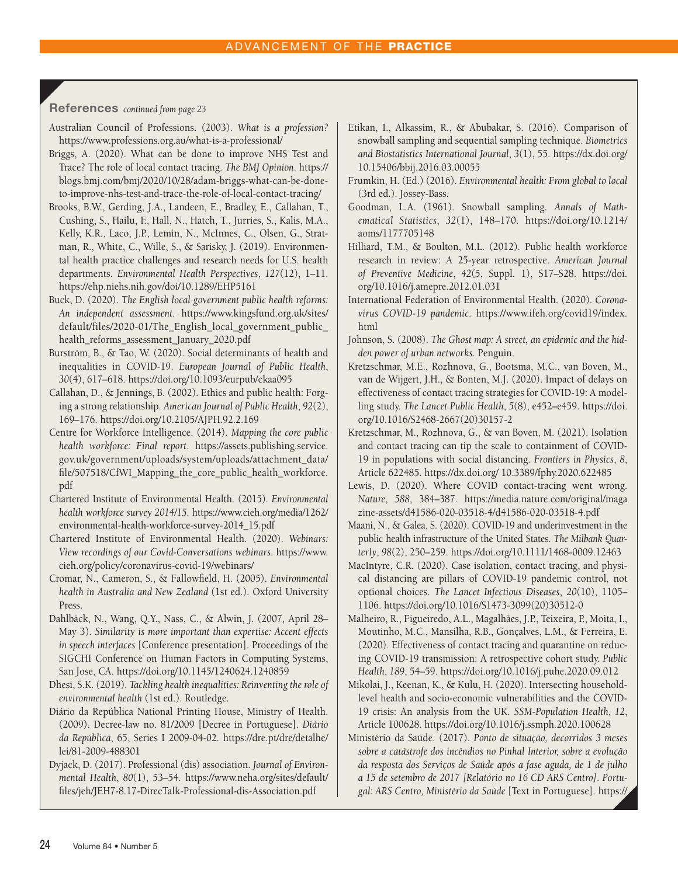References *continued from page 23*

- Australian Council of Professions. (2003). *What is a profession?* https://www.professions.org.au/what-is-a-professional/
- Briggs, A. (2020). What can be done to improve NHS Test and Trace? The role of local contact tracing. *The BMJ Opinion*. https:// blogs.bmj.com/bmj/2020/10/28/adam-briggs-what-can-be-doneto-improve-nhs-test-and-trace-the-role-of-local-contact-tracing/
- Brooks, B.W., Gerding, J.A., Landeen, E., Bradley, E., Callahan, T., Cushing, S., Hailu, F., Hall, N., Hatch, T., Jurries, S., Kalis, M.A., Kelly, K.R., Laco, J.P., Lemin, N., McInnes, C., Olsen, G., Stratman, R., White, C., Wille, S., & Sarisky, J. (2019). Environmental health practice challenges and research needs for U.S. health departments. *Environmental Health Perspectives*, *127*(12), 1–11. https://ehp.niehs.nih.gov/doi/10.1289/EHP5161
- Buck, D. (2020). *The English local government public health reforms: An independent assessment*. https://www.kingsfund.org.uk/sites/ default/files/2020-01/The\_English\_local\_government\_public\_ health\_reforms\_assessment\_January\_2020.pdf
- Burström, B., & Tao, W. (2020). Social determinants of health and inequalities in COVID-19. *European Journal of Public Health*, *30*(4), 617–618. https://doi.org/10.1093/eurpub/ckaa095
- Callahan, D., & Jennings, B. (2002). Ethics and public health: Forging a strong relationship. *American Journal of Public Health*, *92*(2), 169–176. https://doi.org/10.2105/AJPH.92.2.169
- Centre for Workforce Intelligence. (2014). *Mapping the core public health workforce: Final report*. https://assets.publishing.service. gov.uk/government/uploads/system/uploads/attachment\_data/ file/507518/CfWI\_Mapping\_the\_core\_public\_health\_workforce. pdf
- Chartered Institute of Environmental Health. (2015). *Environmental health workforce survey 2014/15*. https://www.cieh.org/media/1262/ environmental-health-workforce-survey-2014\_15.pdf
- Chartered Institute of Environmental Health. (2020). *Webinars: View recordings of our Covid-Conversations webinars*. https://www. cieh.org/policy/coronavirus-covid-19/webinars/
- Cromar, N., Cameron, S., & Fallowfield, H. (2005). *Environmental health in Australia and New Zealand* (1st ed.). Oxford University Press.
- Dahlbäck, N., Wang, Q.Y., Nass, C., & Alwin, J. (2007, April 28– May 3). *Similarity is more important than expertise: Accent effects in speech interfaces* [Conference presentation]. Proceedings of the SIGCHI Conference on Human Factors in Computing Systems, San Jose, CA. https://doi.org/10.1145/1240624.1240859
- Dhesi, S.K. (2019). *Tackling health inequalities: Reinventing the role of environmental health* (1st ed.). Routledge.
- Diário da República National Printing House, Ministry of Health. (2009). Decree-law no. 81/2009 [Decree in Portuguese]. *Diário da República*, 65, Series I 2009-04-02. https://dre.pt/dre/detalhe/ lei/81-2009-488301
- Dyjack, D. (2017). Professional (dis) association. *Journal of Environmental Health*, *80*(1), 53–54. https://www.neha.org/sites/default/ files/jeh/JEH7-8.17-DirecTalk-Professional-dis-Association.pdf
- Etikan, I., Alkassim, R., & Abubakar, S. (2016). Comparison of snowball sampling and sequential sampling technique. *Biometrics and Biostatistics International Journal*, *3*(1), 55. https://dx.doi.org/ 10.15406/bbij.2016.03.00055
- Frumkin, H. (Ed.) (2016). *Environmental health: From global to local*  (3rd ed.). Jossey-Bass.
- Goodman, L.A. (1961). Snowball sampling. *Annals of Mathematical Statistics*, *32*(1), 148–170. https://doi.org/10.1214/ aoms/1177705148
- Hilliard, T.M., & Boulton, M.L. (2012). Public health workforce research in review: A 25-year retrospective. *American Journal of Preventive Medicine*, *42*(5, Suppl. 1), S17–S28. https://doi. org/10.1016/j.amepre.2012.01.031
- International Federation of Environmental Health. (2020). *Coronavirus COVID-19 pandemic*. https://www.ifeh.org/covid19/index. html
- Johnson, S. (2008). *The Ghost map: A street, an epidemic and the hidden power of urban networks*. Penguin.
- Kretzschmar, M.E., Rozhnova, G., Bootsma, M.C., van Boven, M., van de Wijgert, J.H., & Bonten, M.J. (2020). Impact of delays on effectiveness of contact tracing strategies for COVID-19: A modelling study. *The Lancet Public Health*, *5*(8), e452–e459. https://doi. org/10.1016/S2468-2667(20)30157-2
- Kretzschmar, M., Rozhnova, G., & van Boven, M. (2021). Isolation and contact tracing can tip the scale to containment of COVID-19 in populations with social distancing. *Frontiers in Physics*, *8*, Article 622485. https://dx.doi.org/ 10.3389/fphy.2020.622485
- Lewis, D. (2020). Where COVID contact-tracing went wrong. *Nature*, *588*, 384–387. https://media.nature.com/original/maga zine-assets/d41586-020-03518-4/d41586-020-03518-4.pdf
- Maani, N., & Galea, S. (2020). COVID-19 and underinvestment in the public health infrastructure of the United States. *The Milbank Quarterly*, *98*(2), 250–259. https://doi.org/10.1111/1468-0009.12463
- MacIntyre, C.R. (2020). Case isolation, contact tracing, and physical distancing are pillars of COVID-19 pandemic control, not optional choices. *The Lancet Infectious Diseases*, *20*(10), 1105– 1106. https://doi.org/10.1016/S1473-3099(20)30512-0
- Malheiro, R., Figueiredo, A.L., Magalhães, J.P., Teixeira, P., Moita, I., Moutinho, M.C., Mansilha, R.B., Gonçalves, L.M., & Ferreira, E. (2020). Effectiveness of contact tracing and quarantine on reducing COVID-19 transmission: A retrospective cohort study. *Public Health*, *189*, 54–59. https://doi.org/10.1016/j.puhe.2020.09.012
- Mikolai, J., Keenan, K., & Kulu, H. (2020). Intersecting householdlevel health and socio-economic vulnerabilities and the COVID-19 crisis: An analysis from the UK. *SSM-Population Health*, *12*, Article 100628. https://doi.org/10.1016/j.ssmph.2020.100628
- Ministério da Saúde. (2017). *Ponto de situação, decorridos 3 meses sobre a catástrofe dos incêndios no Pinhal Interior, sobre a evolução da resposta dos Serviços de Saúde após a fase aguda, de 1 de julho a 15 de setembro de 2017 [Relatório no 16 CD ARS Centro]. Portugal: ARS Centro, Ministério da Saúde* [Text in Portuguese]. https://